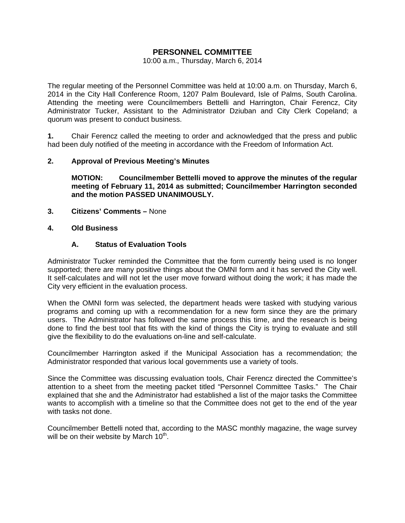# **PERSONNEL COMMITTEE**

#### 10:00 a.m., Thursday, March 6, 2014

The regular meeting of the Personnel Committee was held at 10:00 a.m. on Thursday, March 6, 2014 in the City Hall Conference Room, 1207 Palm Boulevard, Isle of Palms, South Carolina. Attending the meeting were Councilmembers Bettelli and Harrington, Chair Ferencz, City Administrator Tucker, Assistant to the Administrator Dziuban and City Clerk Copeland; a quorum was present to conduct business.

**1.** Chair Ferencz called the meeting to order and acknowledged that the press and public had been duly notified of the meeting in accordance with the Freedom of Information Act.

#### **2. Approval of Previous Meeting's Minutes**

 **MOTION: Councilmember Bettelli moved to approve the minutes of the regular meeting of February 11, 2014 as submitted; Councilmember Harrington seconded and the motion PASSED UNANIMOUSLY.** 

**3. Citizens' Comments –** None

#### **4. Old Business**

#### **A. Status of Evaluation Tools**

Administrator Tucker reminded the Committee that the form currently being used is no longer supported; there are many positive things about the OMNI form and it has served the City well. It self-calculates and will not let the user move forward without doing the work; it has made the City very efficient in the evaluation process.

When the OMNI form was selected, the department heads were tasked with studying various programs and coming up with a recommendation for a new form since they are the primary users. The Administrator has followed the same process this time, and the research is being done to find the best tool that fits with the kind of things the City is trying to evaluate and still give the flexibility to do the evaluations on-line and self-calculate.

Councilmember Harrington asked if the Municipal Association has a recommendation; the Administrator responded that various local governments use a variety of tools.

Since the Committee was discussing evaluation tools, Chair Ferencz directed the Committee's attention to a sheet from the meeting packet titled "Personnel Committee Tasks." The Chair explained that she and the Administrator had established a list of the major tasks the Committee wants to accomplish with a timeline so that the Committee does not get to the end of the year with tasks not done.

Councilmember Bettelli noted that, according to the MASC monthly magazine, the wage survey will be on their website by March  $10^{th}$ .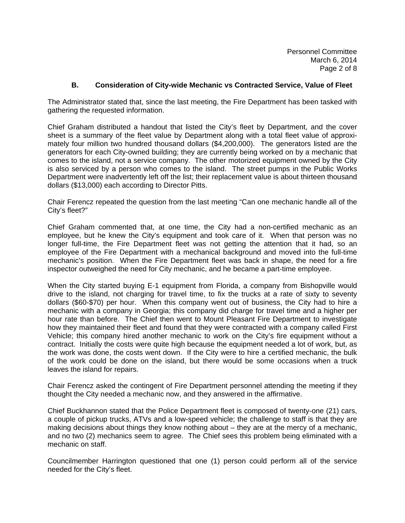### **B. Consideration of City-wide Mechanic vs Contracted Service, Value of Fleet**

The Administrator stated that, since the last meeting, the Fire Department has been tasked with gathering the requested information.

Chief Graham distributed a handout that listed the City's fleet by Department, and the cover sheet is a summary of the fleet value by Department along with a total fleet value of approximately four million two hundred thousand dollars (\$4,200,000). The generators listed are the generators for each City-owned building; they are currently being worked on by a mechanic that comes to the island, not a service company. The other motorized equipment owned by the City is also serviced by a person who comes to the island. The street pumps in the Public Works Department were inadvertently left off the list; their replacement value is about thirteen thousand dollars (\$13,000) each according to Director Pitts.

Chair Ferencz repeated the question from the last meeting "Can one mechanic handle all of the City's fleet?"

Chief Graham commented that, at one time, the City had a non-certified mechanic as an employee, but he knew the City's equipment and took care of it. When that person was no longer full-time, the Fire Department fleet was not getting the attention that it had, so an employee of the Fire Department with a mechanical background and moved into the full-time mechanic's position. When the Fire Department fleet was back in shape, the need for a fire inspector outweighed the need for City mechanic, and he became a part-time employee.

When the City started buying E-1 equipment from Florida, a company from Bishopville would drive to the island, not charging for travel time, to fix the trucks at a rate of sixty to seventy dollars (\$60-\$70) per hour. When this company went out of business, the City had to hire a mechanic with a company in Georgia; this company did charge for travel time and a higher per hour rate than before. The Chief then went to Mount Pleasant Fire Department to investigate how they maintained their fleet and found that they were contracted with a company called First Vehicle; this company hired another mechanic to work on the City's fire equipment without a contract. Initially the costs were quite high because the equipment needed a lot of work, but, as the work was done, the costs went down. If the City were to hire a certified mechanic, the bulk of the work could be done on the island, but there would be some occasions when a truck leaves the island for repairs.

Chair Ferencz asked the contingent of Fire Department personnel attending the meeting if they thought the City needed a mechanic now, and they answered in the affirmative.

Chief Buckhannon stated that the Police Department fleet is composed of twenty-one (21) cars, a couple of pickup trucks, ATVs and a low-speed vehicle; the challenge to staff is that they are making decisions about things they know nothing about – they are at the mercy of a mechanic, and no two (2) mechanics seem to agree. The Chief sees this problem being eliminated with a mechanic on staff.

Councilmember Harrington questioned that one (1) person could perform all of the service needed for the City's fleet.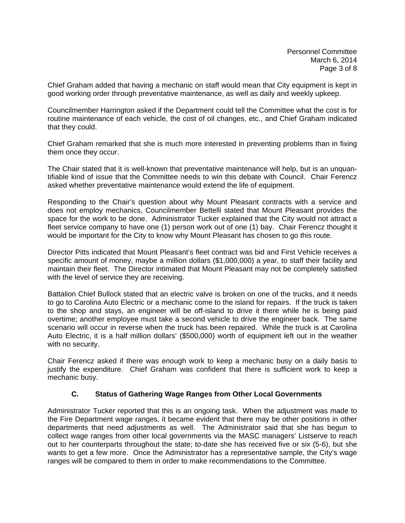Chief Graham added that having a mechanic on staff would mean that City equipment is kept in good working order through preventative maintenance, as well as daily and weekly upkeep.

Councilmember Harrington asked if the Department could tell the Committee what the cost is for routine maintenance of each vehicle, the cost of oil changes, etc., and Chief Graham indicated that they could.

Chief Graham remarked that she is much more interested in preventing problems than in fixing them once they occur.

The Chair stated that it is well-known that preventative maintenance will help, but is an unquantifiable kind of issue that the Committee needs to win this debate with Council. Chair Ferencz asked whether preventative maintenance would extend the life of equipment.

Responding to the Chair's question about why Mount Pleasant contracts with a service and does not employ mechanics, Councilmember Bettelli stated that Mount Pleasant provides the space for the work to be done. Administrator Tucker explained that the City would not attract a fleet service company to have one (1) person work out of one (1) bay. Chair Ferencz thought it would be important for the City to know why Mount Pleasant has chosen to go this route.

Director Pitts indicated that Mount Pleasant's fleet contract was bid and First Vehicle receives a specific amount of money, maybe a million dollars (\$1,000,000) a year, to staff their facility and maintain their fleet. The Director intimated that Mount Pleasant may not be completely satisfied with the level of service they are receiving.

Battalion Chief Bullock stated that an electric valve is broken on one of the trucks, and it needs to go to Carolina Auto Electric or a mechanic come to the island for repairs. If the truck is taken to the shop and stays, an engineer will be off-island to drive it there while he is being paid overtime; another employee must take a second vehicle to drive the engineer back. The same scenario will occur in reverse when the truck has been repaired. While the truck is at Carolina Auto Electric, it is a half million dollars' (\$500,000) worth of equipment left out in the weather with no security.

Chair Ferencz asked if there was enough work to keep a mechanic busy on a daily basis to justify the expenditure. Chief Graham was confident that there is sufficient work to keep a mechanic busy.

### **C. Status of Gathering Wage Ranges from Other Local Governments**

Administrator Tucker reported that this is an ongoing task. When the adjustment was made to the Fire Department wage ranges, it became evident that there may be other positions in other departments that need adjustments as well. The Administrator said that she has begun to collect wage ranges from other local governments via the MASC managers' Listserve to reach out to her counterparts throughout the state; to-date she has received five or six (5-6), but she wants to get a few more. Once the Administrator has a representative sample, the City's wage ranges will be compared to them in order to make recommendations to the Committee.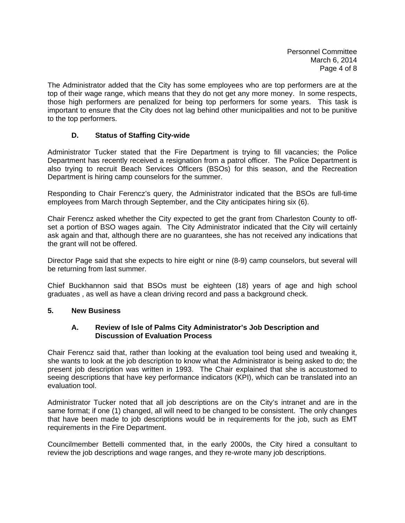The Administrator added that the City has some employees who are top performers are at the top of their wage range, which means that they do not get any more money. In some respects, those high performers are penalized for being top performers for some years. This task is important to ensure that the City does not lag behind other municipalities and not to be punitive to the top performers.

## **D. Status of Staffing City-wide**

Administrator Tucker stated that the Fire Department is trying to fill vacancies; the Police Department has recently received a resignation from a patrol officer. The Police Department is also trying to recruit Beach Services Officers (BSOs) for this season, and the Recreation Department is hiring camp counselors for the summer.

Responding to Chair Ferencz's query, the Administrator indicated that the BSOs are full-time employees from March through September, and the City anticipates hiring six (6).

Chair Ferencz asked whether the City expected to get the grant from Charleston County to offset a portion of BSO wages again. The City Administrator indicated that the City will certainly ask again and that, although there are no guarantees, she has not received any indications that the grant will not be offered.

Director Page said that she expects to hire eight or nine (8-9) camp counselors, but several will be returning from last summer.

Chief Buckhannon said that BSOs must be eighteen (18) years of age and high school graduates , as well as have a clean driving record and pass a background check.

### **5. New Business**

### **A. Review of Isle of Palms City Administrator's Job Description and Discussion of Evaluation Process**

Chair Ferencz said that, rather than looking at the evaluation tool being used and tweaking it, she wants to look at the job description to know what the Administrator is being asked to do; the present job description was written in 1993. The Chair explained that she is accustomed to seeing descriptions that have key performance indicators (KPI), which can be translated into an evaluation tool.

Administrator Tucker noted that all job descriptions are on the City's intranet and are in the same format; if one (1) changed, all will need to be changed to be consistent. The only changes that have been made to job descriptions would be in requirements for the job, such as EMT requirements in the Fire Department.

Councilmember Bettelli commented that, in the early 2000s, the City hired a consultant to review the job descriptions and wage ranges, and they re-wrote many job descriptions.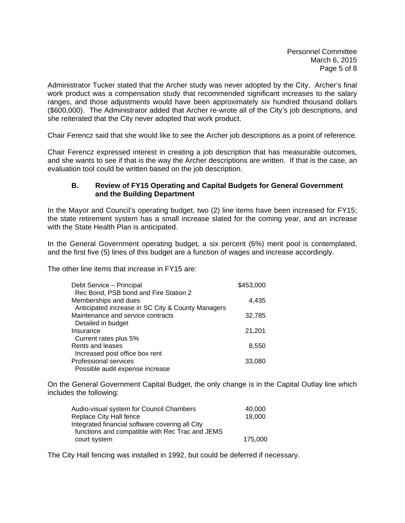Personnel Committee March 6, 2015 Page 5 of 8

Administrator Tucker stated that the Archer study was never adopted by the City. Archer's final work product was a compensation study that recommended significant increases to the salary ranges, and those adjustments would have been approximately six hundred thousand dollars (\$600,000). The Administrator added that Archer re-wrote all of the City's job descriptions, and she reiterated that the City never adopted that work product.

Chair Ferencz said that she would like to see the Archer job descriptions as a point of reference.

Chair Ferencz expressed interest in creating a job description that has measurable outcomes, and she wants to see if that is the way the Archer descriptions are written. If that is the case, an evaluation tool could be written based on the job description.

#### **B. Review of FY15 Operating and Capital Budgets for General Government and the Building Department**

In the Mayor and Council's operating budget, two (2) line items have been increased for FY15; the state retirement system has a small increase slated for the coming year, and an increase with the State Health Plan is anticipated.

In the General Government operating budget, a six percent (6%) merit pool is contemplated, and the first five (5) lines of this budget are a function of wages and increase accordingly.

The other line items that increase in FY15 are:

| Debt Service - Principal                          | \$453,000 |
|---------------------------------------------------|-----------|
| Rec Bond, PSB bond and Fire Station 2             |           |
| Memberships and dues                              | 4,435     |
| Anticipated increase in SC City & County Managers |           |
| Maintenance and service contracts                 | 32,785    |
| Detailed in budget                                |           |
| Insurance                                         | 21,201    |
| Current rates plus 5%                             |           |
| Rents and leases                                  | 8,550     |
| Increased post office box rent                    |           |
| Professional services                             | 33,080    |
| Possible audit expense increase                   |           |

On the General Government Capital Budget, the only change is in the Capital Outlay line which includes the following:

| Audio-visual system for Council Chambers        | 40.000  |
|-------------------------------------------------|---------|
| Replace City Hall fence                         | 18,000  |
| Integrated financial software covering all City |         |
| functions and compatible with Rec Trac and JEMS |         |
| court system                                    | 175.000 |

The City Hall fencing was installed in 1992, but could be deferred if necessary.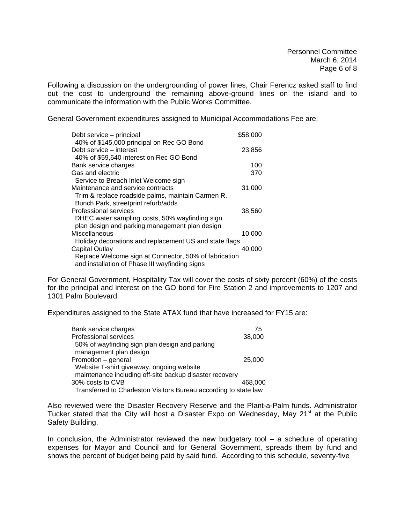Following a discussion on the undergrounding of power lines, Chair Ferencz asked staff to find out the cost to underground the remaining above-ground lines on the island and to communicate the information with the Public Works Committee.

General Government expenditures assigned to Municipal Accommodations Fee are:

| Debt service - principal                               | \$58,000 |
|--------------------------------------------------------|----------|
| 40% of \$145,000 principal on Rec GO Bond              |          |
| Debt service – interest                                | 23,856   |
| 40% of \$59,640 interest on Rec GO Bond                |          |
| Bank service charges                                   | 100      |
| Gas and electric                                       | 370      |
| Service to Breach Inlet Welcome sign                   |          |
| Maintenance and service contracts                      | 31,000   |
| Trim & replace roadside palms, maintain Carmen R.      |          |
| Bunch Park, streetprint refurb/adds                    |          |
| Professional services                                  | 38,560   |
| DHEC water sampling costs, 50% wayfinding sign         |          |
| plan design and parking management plan design         |          |
| Miscellaneous                                          | 10,000   |
| Holiday decorations and replacement US and state flags |          |
| <b>Capital Outlay</b>                                  | 40,000   |
| Replace Welcome sign at Connector, 50% of fabrication  |          |
| and installation of Phase III wayfinding signs         |          |

For General Government, Hospitality Tax will cover the costs of sixty percent (60%) of the costs for the principal and interest on the GO bond for Fire Station 2 and improvements to 1207 and 1301 Palm Boulevard.

Expenditures assigned to the State ATAX fund that have increased for FY15 are:

| Bank service charges                                             | 75      |
|------------------------------------------------------------------|---------|
| Professional services                                            | 38,000  |
| 50% of wayfinding sign plan design and parking                   |         |
| management plan design                                           |         |
| Promotion - general                                              | 25,000  |
| Website T-shirt giveaway, ongoing website                        |         |
| maintenance including off-site backup disaster recovery          |         |
| 30% costs to CVB                                                 | 468,000 |
| Transferred to Charleston Visitors Bureau according to state law |         |

Also reviewed were the Disaster Recovery Reserve and the Plant-a-Palm funds. Administrator Tucker stated that the City will host a Disaster Expo on Wednesday, May 21<sup>st</sup> at the Public Safety Building.

In conclusion, the Administrator reviewed the new budgetary tool  $-$  a schedule of operating expenses for Mayor and Council and for General Government, spreads them by fund and shows the percent of budget being paid by said fund. According to this schedule, seventy-five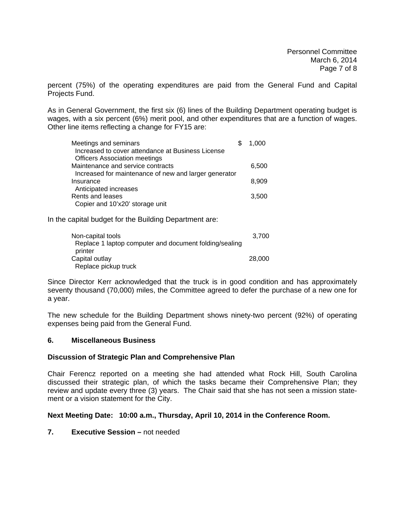percent (75%) of the operating expenditures are paid from the General Fund and Capital Projects Fund.

As in General Government, the first six (6) lines of the Building Department operating budget is wages, with a six percent (6%) merit pool, and other expenditures that are a function of wages. Other line items reflecting a change for FY15 are:

| Meetings and seminars                                 | 1.000 |
|-------------------------------------------------------|-------|
| Increased to cover attendance at Business License     |       |
| <b>Officers Association meetings</b>                  |       |
| Maintenance and service contracts                     | 6,500 |
| Increased for maintenance of new and larger generator |       |
| Insurance                                             | 8,909 |
| Anticipated increases                                 |       |
| Rents and leases                                      | 3,500 |
| Copier and 10'x20' storage unit                       |       |

In the capital budget for the Building Department are:

| Non-capital tools                                      | 3.700  |
|--------------------------------------------------------|--------|
| Replace 1 laptop computer and document folding/sealing |        |
| printer                                                |        |
| Capital outlay                                         | 28,000 |
| Replace pickup truck                                   |        |

Since Director Kerr acknowledged that the truck is in good condition and has approximately seventy thousand (70,000) miles, the Committee agreed to defer the purchase of a new one for a year.

The new schedule for the Building Department shows ninety-two percent (92%) of operating expenses being paid from the General Fund.

#### **6. Miscellaneous Business**

#### **Discussion of Strategic Plan and Comprehensive Plan**

Chair Ferencz reported on a meeting she had attended what Rock Hill, South Carolina discussed their strategic plan, of which the tasks became their Comprehensive Plan; they review and update every three (3) years. The Chair said that she has not seen a mission statement or a vision statement for the City.

#### **Next Meeting Date: 10:00 a.m., Thursday, April 10, 2014 in the Conference Room.**

### **7. Executive Session –** not needed